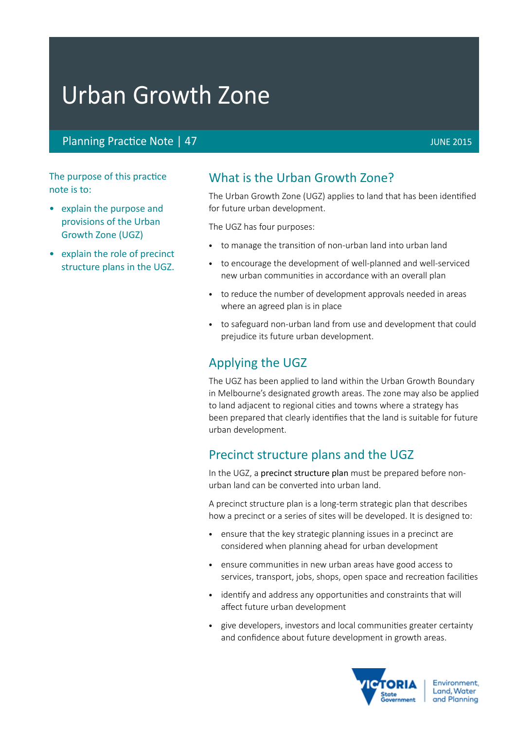# Urban Growth Zone

# Planning Practice Note | 47 JUNE 2015

The purpose of this practice note is to:

- explain the purpose and provisions of the Urban Growth Zone (UGZ)
- explain the role of precinct structure plans in the UGZ.

# What is the Urban Growth Zone?

The Urban Growth Zone (UGZ) applies to land that has been identified for future urban development.

The UGZ has four purposes:

- to manage the transition of non-urban land into urban land
- to encourage the development of well-planned and well-serviced new urban communities in accordance with an overall plan
- to reduce the number of development approvals needed in areas where an agreed plan is in place
- to safeguard non-urban land from use and development that could prejudice its future urban development.

# Applying the UGZ

The UGZ has been applied to land within the Urban Growth Boundary in Melbourne's designated growth areas. The zone may also be applied to land adjacent to regional cities and towns where a strategy has been prepared that clearly identifies that the land is suitable for future urban development.

# Precinct structure plans and the UGZ

In the UGZ, a precinct structure plan must be prepared before nonurban land can be converted into urban land.

A precinct structure plan is a long-term strategic plan that describes how a precinct or a series of sites will be developed. It is designed to:

- ensure that the key strategic planning issues in a precinct are considered when planning ahead for urban development
- • ensure communities in new urban areas have good access to services, transport, jobs, shops, open space and recreation facilities
- identify and address any opportunities and constraints that will affect future urban development
- give developers, investors and local communities greater certainty and confidence about future development in growth areas.

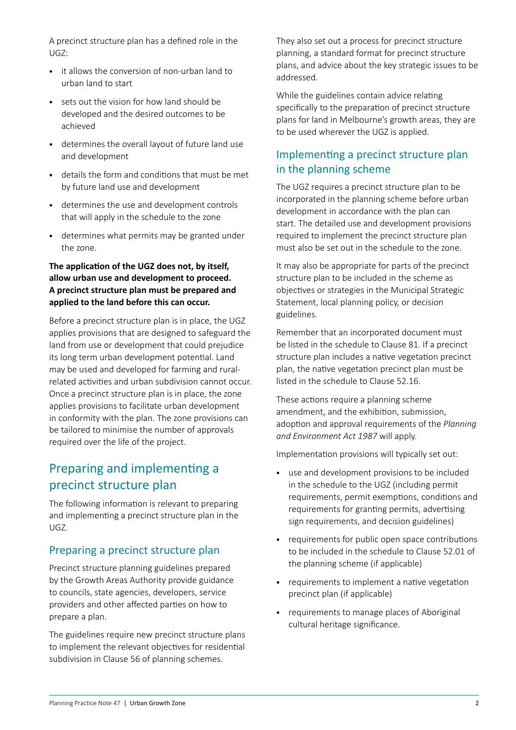A precinct structure plan has a defined role in the UGZ:

- • it allows the conversion of non-urban land to urban land to start
- sets out the vision for how land should be developed and the desired outcomes to be achieved
- • determines the overall layout of future land use and development
- • details the form and conditions that must be met by future land use and development
- • determines the use and development controls that will apply in the schedule to the zone
- • determines what permits may be granted under the zone.

### **The application of the UGZ does not, by itself, allow urban use and development to proceed. A precinct structure plan must be prepared and applied to the land before this can occur.**

Before a precinct structure plan is in place, the UGZ applies provisions that are designed to safeguard the land from use or development that could prejudice its long term urban development potential. Land may be used and developed for farming and ruralrelated activities and urban subdivision cannot occur. Once a precinct structure plan is in place, the zone applies provisions to facilitate urban development in conformity with the plan. The zone provisions can be tailored to minimise the number of approvals required over the life of the project.

# Preparing and implementing a precinct structure plan

The following information is relevant to preparing and implementing a precinct structure plan in the UGZ.

# Preparing a precinct structure plan

Precinct structure planning guidelines prepared by the Growth Areas Authority provide guidance to councils, state agencies, developers, service providers and other affected parties on how to prepare a plan.

The guidelines require new precinct structure plans to implement the relevant objectives for residential subdivision in Clause 56 of planning schemes.

They also set out a process for precinct structure planning, a standard format for precinct structure plans, and advice about the key strategic issues to be addressed.

While the guidelines contain advice relating specifically to the preparation of precinct structure plans for land in Melbourne's growth areas, they are to be used wherever the UGZ is applied.

# Implementing a precinct structure plan in the planning scheme

The UGZ requires a precinct structure plan to be incorporated in the planning scheme before urban development in accordance with the plan can start. The detailed use and development provisions required to implement the precinct structure plan must also be set out in the schedule to the zone.

It may also be appropriate for parts of the precinct structure plan to be included in the scheme as objectives or strategies in the Municipal Strategic Statement, local planning policy, or decision guidelines.

Remember that an incorporated document must be listed in the schedule to Clause 81. If a precinct structure plan includes a native vegetation precinct plan, the native vegetation precinct plan must be listed in the schedule to Clause 52.16.

These actions require a planning scheme amendment, and the exhibition, submission, adoption and approval requirements of the *Planning and Environment Act 1987* will apply.

Implementation provisions will typically set out:

- • use and development provisions to be included in the schedule to the UGZ (including permit requirements, permit exemptions, conditions and requirements for granting permits, advertising sign requirements, and decision guidelines)
- requirements for public open space contributions to be included in the schedule to Clause 52.01 of the planning scheme (if applicable)
- • requirements to implement a native vegetation precinct plan (if applicable)
- requirements to manage places of Aboriginal cultural heritage significance.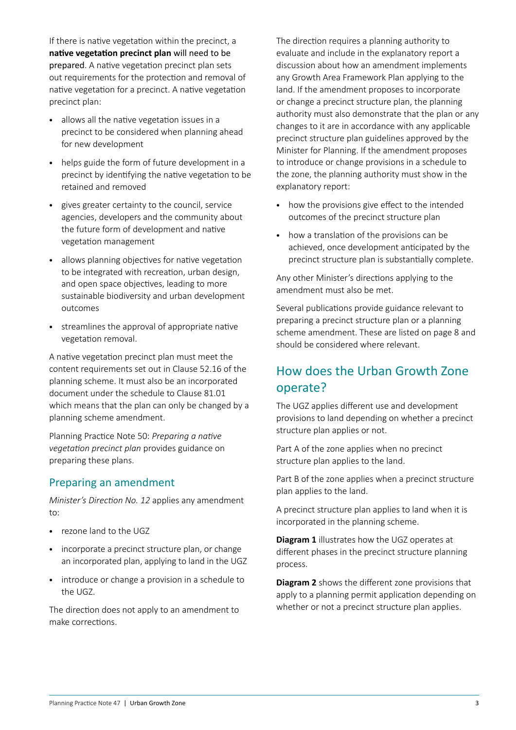If there is native vegetation within the precinct, a **native vegetation precinct plan** will need to be prepared. A native vegetation precinct plan sets out requirements for the protection and removal of native vegetation for a precinct. A native vegetation precinct plan:

- • allows all the native vegetation issues in a precinct to be considered when planning ahead for new development
- helps guide the form of future development in a precinct by identifying the native vegetation to be retained and removed
- • gives greater certainty to the council, service agencies, developers and the community about the future form of development and native vegetation management
- allows planning objectives for native vegetation to be integrated with recreation, urban design, and open space objectives, leading to more sustainable biodiversity and urban development outcomes
- • streamlines the approval of appropriate native vegetation removal.

A native vegetation precinct plan must meet the content requirements set out in Clause 52.16 of the planning scheme. It must also be an incorporated document under the schedule to Clause 81.01 which means that the plan can only be changed by a planning scheme amendment.

Planning Practice Note 50: *[Preparing a native](http://www.dse.vic.gov.au/CA256F310024B628/0/872AA202FCFB82F9CA25712B00287212/$File/Preparing+a+native+vegetation+precinct+plan.pdf)  [vegetation precinct plan](http://www.dse.vic.gov.au/CA256F310024B628/0/872AA202FCFB82F9CA25712B00287212/$File/Preparing+a+native+vegetation+precinct+plan.pdf)* provides guidance on preparing these plans.

# Preparing an amendment

*Minister's Direction No. 12* applies any amendment to:

- • rezone land to the UGZ
- incorporate a precinct structure plan, or change an incorporated plan, applying to land in the UGZ
- introduce or change a provision in a schedule to the UGZ.

The direction does not apply to an amendment to make corrections.

The direction requires a planning authority to evaluate and include in the explanatory report a discussion about how an amendment implements any Growth Area Framework Plan applying to the land. If the amendment proposes to incorporate or change a precinct structure plan, the planning authority must also demonstrate that the plan or any changes to it are in accordance with any applicable precinct structure plan guidelines approved by the Minister for Planning. If the amendment proposes to introduce or change provisions in a schedule to the zone, the planning authority must show in the explanatory report:

- how the provisions give effect to the intended outcomes of the precinct structure plan
- how a translation of the provisions can be achieved, once development anticipated by the precinct structure plan is substantially complete.

Any other Minister's directions applying to the amendment must also be met.

Several publications provide guidance relevant to preparing a precinct structure plan or a planning scheme amendment. These are listed on page 8 and should be considered where relevant.

# How does the Urban Growth Zone operate?

The UGZ applies different use and development provisions to land depending on whether a precinct structure plan applies or not.

Part A of the zone applies when no precinct structure plan applies to the land.

Part B of the zone applies when a precinct structure plan applies to the land.

A precinct structure plan applies to land when it is incorporated in the planning scheme.

**Diagram 1** illustrates how the UGZ operates at different phases in the precinct structure planning process.

**Diagram 2** shows the different zone provisions that apply to a planning permit application depending on whether or not a precinct structure plan applies.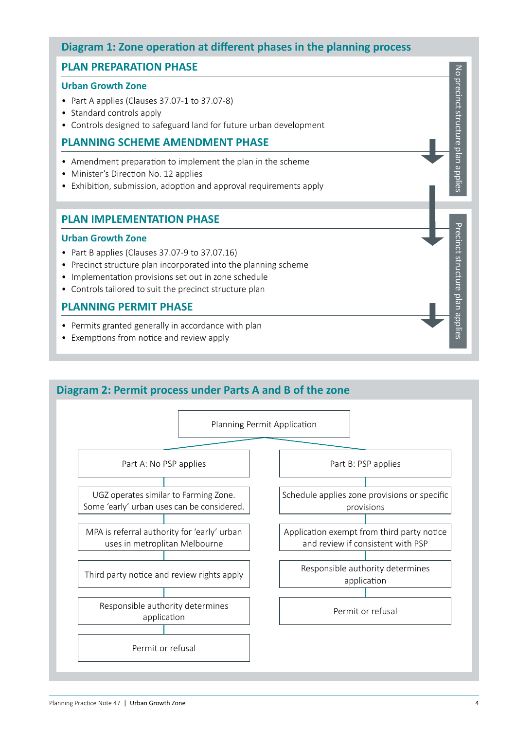# **Diagram 1: Zone operation at different phases in the planning process**

# **PLAN PREPARATION PHASE**

#### **Urban Growth Zone**

- Part A applies (Clauses 37.07-1 to 37.07-8)
- Standard controls apply
- Controls designed to safeguard land for future urban development

### **PLANNING SCHEME AMENDMENT PHASE**

- Amendment preparation to implement the plan in the scheme
- Minister's Direction No. 12 applies
- Exhibition, submission, adoption and approval requirements apply

### **PLAN IMPLEMENTATION PHASE**

#### **Urban Growth Zone**

- Part B applies (Clauses 37.07-9 to 37.07.16)
- Precinct structure plan incorporated into the planning scheme
- Implementation provisions set out in zone schedule
- Controls tailored to suit the precinct structure plan

### **PLANNING PERMIT PHASE**

- Permits granted generally in accordance with plan
- Exemptions from notice and review apply

# **Diagram 2: Permit process under Parts A and B of the zone**



No precinct structure plan applies

No precinct structure plan applies

Precinct structure plan applies

Precinct structure plan applies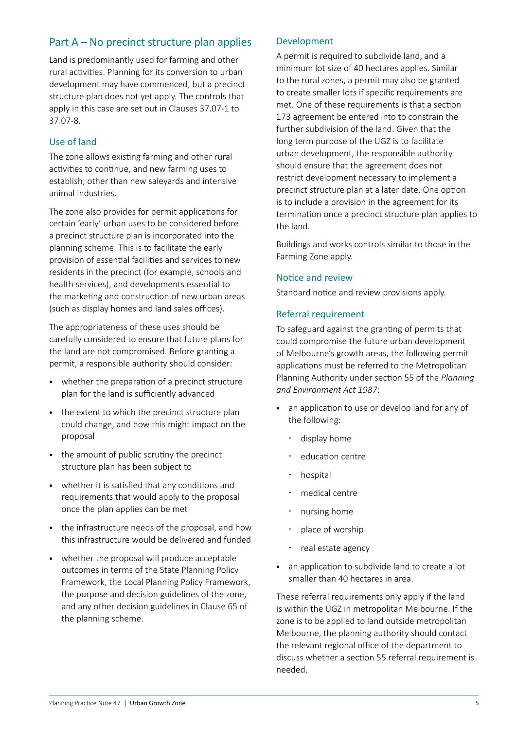# Part A – No precinct structure plan applies

Land is predominantly used for farming and other rural activities. Planning for its conversion to urban development may have commenced, but a precinct structure plan does not yet apply. The controls that apply in this case are set out in Clauses 37.07-1 to 37.07-8.

### Use of land

The zone allows existing farming and other rural activities to continue, and new farming uses to establish, other than new saleyards and intensive animal industries.

The zone also provides for permit applications for certain 'early' urban uses to be considered before a precinct structure plan is incorporated into the planning scheme. This is to facilitate the early provision of essential facilities and services to new residents in the precinct (for example, schools and health services), and developments essential to the marketing and construction of new urban areas (such as display homes and land sales offices).

The appropriateness of these uses should be carefully considered to ensure that future plans for the land are not compromised. Before granting a permit, a responsible authority should consider:

- whether the preparation of a precinct structure plan for the land is sufficiently advanced
- the extent to which the precinct structure plan could change, and how this might impact on the proposal
- the amount of public scrutiny the precinct structure plan has been subject to
- • whether it is satisfied that any conditions and requirements that would apply to the proposal once the plan applies can be met
- the infrastructure needs of the proposal, and how this infrastructure would be delivered and funded
- whether the proposal will produce acceptable outcomes in terms of the State Planning Policy Framework, the Local Planning Policy Framework, the purpose and decision guidelines of the zone, and any other decision guidelines in Clause 65 of the planning scheme.

#### Development

A permit is required to subdivide land, and a minimum lot size of 40 hectares applies. Similar to the rural zones, a permit may also be granted to create smaller lots if specific requirements are met. One of these requirements is that a section 173 agreement be entered into to constrain the further subdivision of the land. Given that the long term purpose of the UGZ is to facilitate urban development, the responsible authority should ensure that the agreement does not restrict development necessary to implement a precinct structure plan at a later date. One option is to include a provision in the agreement for its termination once a precinct structure plan applies to the land.

Buildings and works controls similar to those in the Farming Zone apply.

#### Notice and review

Standard notice and review provisions apply.

#### Referral requirement

To safeguard against the granting of permits that could compromise the future urban development of Melbourne's growth areas, the following permit applications must be referred to the Metropolitan Planning Authority under section 55 of the *Planning and Environment Act 1987*:

- an application to use or develop land for any of the following:
	- display home
	- education centre
	- hospital
	- medical centre
	- nursing home
	- place of worship
	- real estate agency
- an application to subdivide land to create a lot smaller than 40 hectares in area.

These referral requirements only apply if the land is within the UGZ in metropolitan Melbourne. If the zone is to be applied to land outside metropolitan Melbourne, the planning authority should contact the relevant regional office of the department to discuss whether a section 55 referral requirement is needed.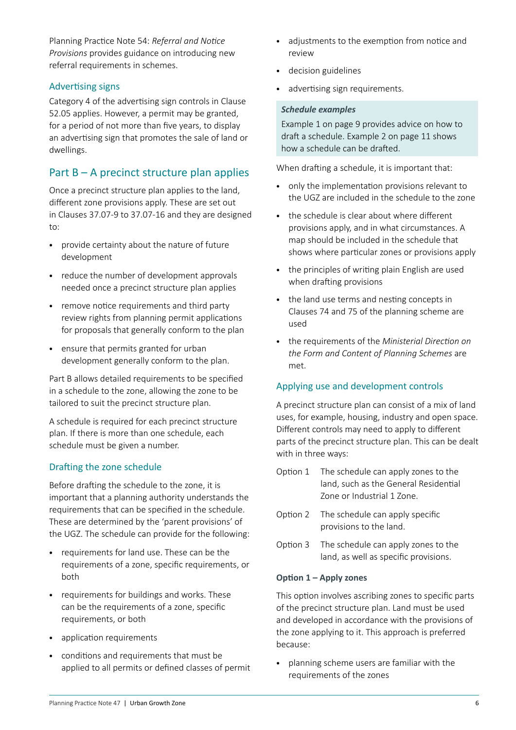Planning Practice Note 54: *[Referral and Notice](http://www.dse.vic.gov.au/CA256F310024B628/0/AED287EB6028FECBCA25701B0029E930/$File/Managing+referrals+and+notice+requirements+Jul+2002.pdf)  Provisions* provides guidance on introducing new referral requirements in schemes.

#### Advertising signs

Category 4 of the advertising sign controls in Clause 52.05 applies. However, a permit may be granted, for a period of not more than five years, to display an advertising sign that promotes the sale of land or dwellings.

# Part  $B - A$  precinct structure plan applies

Once a precinct structure plan applies to the land, different zone provisions apply. These are set out in Clauses 37.07-9 to 37.07-16 and they are designed to:

- • provide certainty about the nature of future development
- reduce the number of development approvals needed once a precinct structure plan applies
- • remove notice requirements and third party review rights from planning permit applications for proposals that generally conform to the plan
- • ensure that permits granted for urban development generally conform to the plan.

Part B allows detailed requirements to be specified in a schedule to the zone, allowing the zone to be tailored to suit the precinct structure plan.

A schedule is required for each precinct structure plan. If there is more than one schedule, each schedule must be given a number.

# Drafting the zone schedule

Before drafting the schedule to the zone, it is important that a planning authority understands the requirements that can be specified in the schedule. These are determined by the 'parent provisions' of the UGZ. The schedule can provide for the following:

- • requirements for land use. These can be the requirements of a zone, specific requirements, or both
- • requirements for buildings and works. These can be the requirements of a zone, specific requirements, or both
- • application requirements
- • conditions and requirements that must be applied to all permits or defined classes of permit
- • adjustments to the exemption from notice and review
- • decision guidelines
- advertising sign requirements.

#### *Schedule examples*

Example 1 on page 9 provides advice on how to draft a schedule. Example 2 on page 11 shows how a schedule can be drafted.

When drafting a schedule, it is important that:

- only the implementation provisions relevant to the UGZ are included in the schedule to the zone
- the schedule is clear about where different provisions apply, and in what circumstances. A map should be included in the schedule that shows where particular zones or provisions apply
- the principles of writing plain English are used when drafting provisions
- the land use terms and nesting concepts in Clauses 74 and 75 of the planning scheme are used
- • the requirements of the *Ministerial Direction on the Form and Content of Planning Schemes* are met.

#### Applying use and development controls

A precinct structure plan can consist of a mix of land uses, for example, housing, industry and open space. Different controls may need to apply to different parts of the precinct structure plan. This can be dealt with in three ways:

- Option 1 The schedule can apply zones to the land, such as the General Residential Zone or Industrial 1 Zone.
- Option 2 The schedule can apply specific provisions to the land.
- Option 3 The schedule can apply zones to the land, as well as specific provisions.

#### **Option 1 – Apply zones**

This option involves ascribing zones to specific parts of the precinct structure plan. Land must be used and developed in accordance with the provisions of the zone applying to it. This approach is preferred because:

• planning scheme users are familiar with the requirements of the zones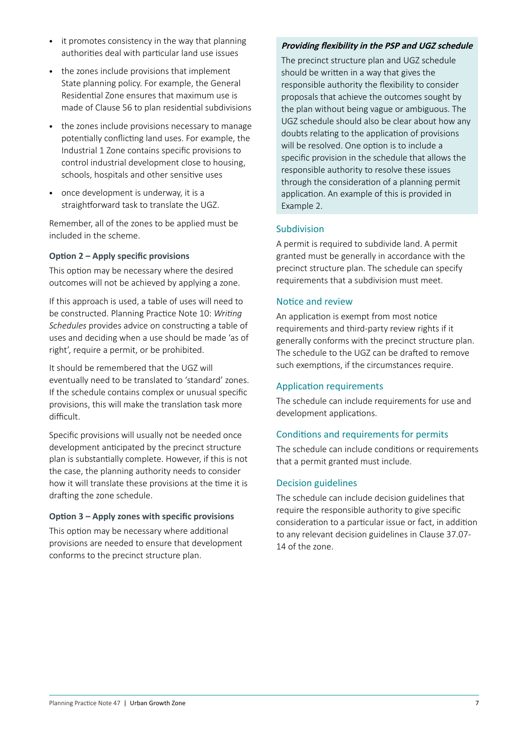- it promotes consistency in the way that planning authorities deal with particular land use issues
- the zones include provisions that implement State planning policy. For example, the General Residential Zone ensures that maximum use is made of Clause 56 to plan residential subdivisions
- the zones include provisions necessary to manage potentially conflicting land uses. For example, the Industrial 1 Zone contains specific provisions to control industrial development close to housing, schools, hospitals and other sensitive uses
- once development is underway, it is a straightforward task to translate the UGZ.

Remember, all of the zones to be applied must be included in the scheme.

### **Option 2 – Apply specific provisions**

This option may be necessary where the desired outcomes will not be achieved by applying a zone.

If this approach is used, a table of uses will need to be constructed. Planning Practice Note 10: *Writing Schedules* provides advice on constructing a table of uses and deciding when a use should be made 'as of right', require a permit, or be prohibited.

It should be remembered that the UGZ will eventually need to be translated to 'standard' zones. If the schedule contains complex or unusual specific provisions, this will make the translation task more difficult.

Specific provisions will usually not be needed once development anticipated by the precinct structure plan is substantially complete. However, if this is not the case, the planning authority needs to consider how it will translate these provisions at the time it is drafting the zone schedule.

# **Option 3 – Apply zones with specific provisions**

This option may be necessary where additional provisions are needed to ensure that development conforms to the precinct structure plan.

# **Providing flexibility in the PSP and UGZ schedule**

The precinct structure plan and UGZ schedule should be written in a way that gives the responsible authority the flexibility to consider proposals that achieve the outcomes sought by the plan without being vague or ambiguous. The UGZ schedule should also be clear about how any doubts relating to the application of provisions will be resolved. One option is to include a specific provision in the schedule that allows the responsible authority to resolve these issues through the consideration of a planning permit application. An example of this is provided in Example 2.

### Subdivision

A permit is required to subdivide land. A permit granted must be generally in accordance with the precinct structure plan. The schedule can specify requirements that a subdivision must meet.

# Notice and review

An application is exempt from most notice requirements and third-party review rights if it generally conforms with the precinct structure plan. The schedule to the UGZ can be drafted to remove such exemptions, if the circumstances require.

#### Application requirements

The schedule can include requirements for use and development applications.

# Conditions and requirements for permits

The schedule can include conditions or requirements that a permit granted must include.

### Decision guidelines

The schedule can include decision guidelines that require the responsible authority to give specific consideration to a particular issue or fact, in addition to any relevant decision guidelines in Clause 37.07- 14 of the zone.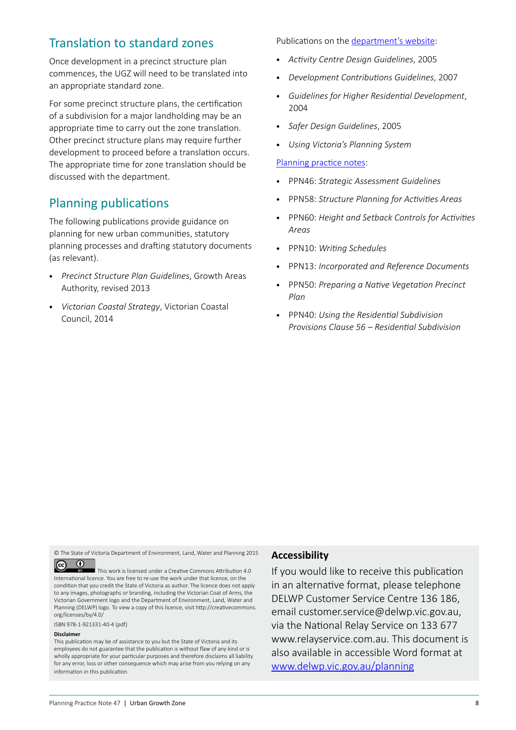# Translation to standard zones

Once development in a precinct structure plan commences, the UGZ will need to be translated into an appropriate standard zone.

For some precinct structure plans, the certification of a subdivision for a major landholding may be an appropriate time to carry out the zone translation. Other precinct structure plans may require further development to proceed before a translation occurs. The appropriate time for zone translation should be discussed with the department.

# Planning publications

The following publications provide guidance on planning for new urban communities, statutory planning processes and drafting statutory documents (as relevant).

- • *Precinct Structure Plan Guidelines*, Growth Areas Authority, revised 2013
- • *Victorian Coastal Strategy*, Victorian Coastal Council, 2014

Publications on the [department's website:](http://www.dtpli.vic.gov.au/planning/planning-publications)

- • *Activity Centre Design Guidelines*, 2005
- • *Development Contributions Guidelines*, 2007
- • *Guidelines for Higher Residential Development*, 2004
- • *Safer Design Guidelines*, 2005
- • *Using Victoria's Planning System*

#### [Planning practice notes](http://www.dtpli.vic.gov.au/planning/planning-publications/practice-and-advisory-notes):

- • PPN46: *Strategic Assessment Guidelines*
- • PPN58: *Structure Planning for Activities Areas*
- • PPN60: *Height and Setback Controls for Activities Areas*
- • PPN10: *Writing Schedules*
- **PPN13: Incorporated and Reference Documents**
- **PPN50: Preparing a Native Vegetation Precinct** *Plan*
- • PPN40: *Using the Residential Subdivision Provisions Clause 56 – Residential Subdivision*

© The State of Victoria Department of Environment, Land, Water and Planning 2015

 $\odot$  $\left( \infty \right)$ 

This work is licensed under a Creative Commons Attribution 4.0 International licence. You are free to re-use the work under that licence, on the condition that you credit the State of Victoria as author. The licence does not apply to any images, photographs or branding, including the Victorian Coat of Arms, the Victorian Government logo and the Department of Environment, Land, Water and Planning (DELWP) logo. To view a copy of this licence, visit http://creativecommons. org/licenses/by/4.0/

ISBN 978-1-921331-40-4 (pdf)

#### **Disclaimer**

This publication may be of assistance to you but the State of Victoria and its employees do not guarantee that the publication is without flaw of any kind or is wholly appropriate for your particular purposes and therefore disclaims all liability for any error, loss or other consequence which may arise from you relying on any information in this publication.

#### **Accessibility**

If you would like to receive this publication in an alternative format, please telephone DELWP Customer Service Centre 136 186, email customer.service@delwp.vic.gov.au, via the National Relay Service on 133 677 www.relayservice.com.au. This document is also available in accessible Word format at [www.delwp.vic.gov.au/planning](http://www.delwp.vic.gov.au/planning)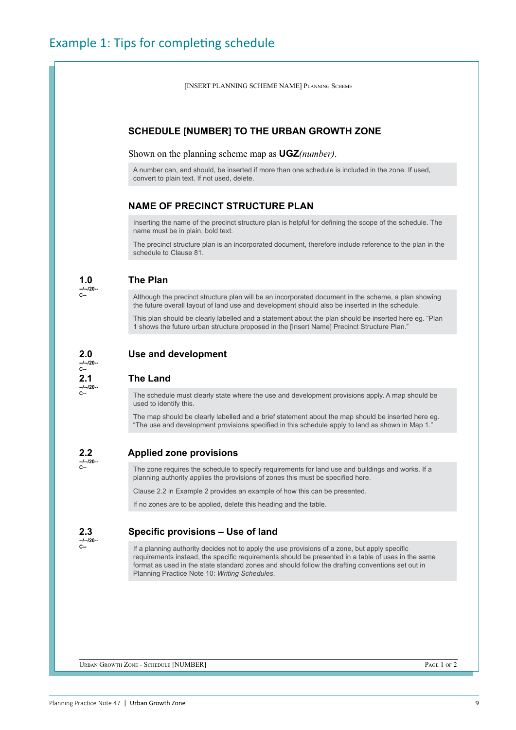[INSERT PLANNING SCHEME NAME] Planning Scheme

#### **SCHEDULE [NUMBER] TO THE URBAN GROWTH ZONE**

Shown on the planning scheme map as **UGZ***(number)*.

A number can, and should, be inserted if more than one schedule is included in the zone. If used, convert to plain text. If not used, delete.

#### **NAME OF PRECINCT STRUCTURE PLAN**

Inserting the name of the precinct structure plan is helpful for defining the scope of the schedule. The name must be in plain, bold text.

The precinct structure plan is an incorporated document, therefore include reference to the plan in the schedule to Clause 81.

|--|

**--/--/20-- C--**

**C--**

**--/--/20-- C--**

#### **1.0 The Plan**

Although the precinct structure plan will be an incorporated document in the scheme, a plan showing the future overall layout of land use and development should also be inserted in the schedule.

This plan should be clearly labelled and a statement about the plan should be inserted here eg. "Plan 1 shows the future urban structure proposed in the [Insert Name] Precinct Structure Plan."

#### **2.0 Use and development --/--/20--**

#### **2.1 The Land**

The schedule must clearly state where the use and development provisions apply. A map should be used to identify this.

The map should be clearly labelled and a brief statement about the map should be inserted here eg. "The use and development provisions specified in this schedule apply to land as shown in Map 1."

#### **2.2 Applied zone provisions**

**--/--/20-- C--**

#### The zone requires the schedule to specify requirements for land use and buildings and works. If a planning authority applies the provisions of zones this must be specified here.

Clause 2.2 in Example 2 provides an example of how this can be presented.

If no zones are to be applied, delete this heading and the table.

**--/--/20-- C--**

# **2.3 Specific provisions – Use of land**

If a planning authority decides not to apply the use provisions of a zone, but apply specific requirements instead, the specific requirements should be presented in a table of uses in the same format as used in the state standard zones and should follow the drafting conventions set out in Planning Practice Note 10: *Writing Schedules*.

Urban Growth Zone - Schedule [NUMBER] Page 1 of 2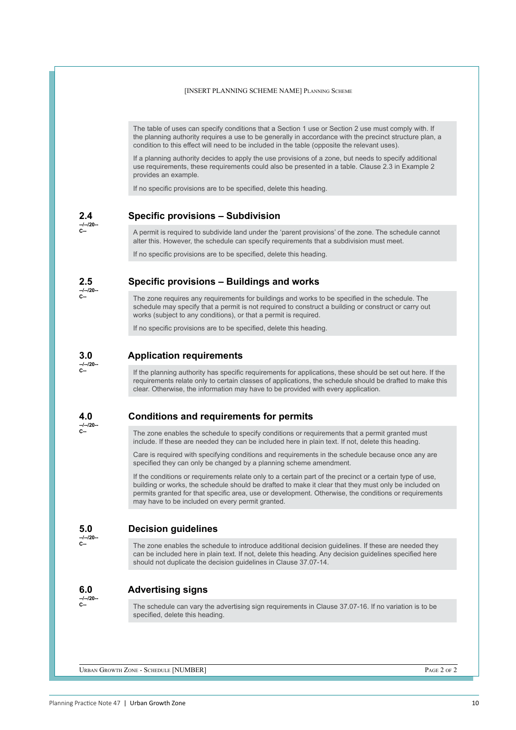[INSERT PLANNING SCHEME NAME] Planning Scheme

The table of uses can specify conditions that a Section 1 use or Section 2 use must comply with. If the planning authority requires a use to be generally in accordance with the precinct structure plan, a condition to this effect will need to be included in the table (opposite the relevant uses).

If a planning authority decides to apply the use provisions of a zone, but needs to specify additional use requirements, these requirements could also be presented in a table. Clause 2.3 in Example 2 provides an example.

If no specific provisions are to be specified, delete this heading.

**--/--/20-- C--**

**2.4 Specific provisions – Subdivision**

A permit is required to subdivide land under the 'parent provisions' of the zone. The schedule cannot alter this. However, the schedule can specify requirements that a subdivision must meet.

If no specific provisions are to be specified, delete this heading.

**--/--/20-- C--**

#### **2.5 Specific provisions – Buildings and works**

The zone requires any requirements for buildings and works to be specified in the schedule. The schedule may specify that a permit is not required to construct a building or construct or carry out works (subject to any conditions), or that a permit is required.

If no specific provisions are to be specified, delete this heading.

#### **3.0 Application requirements**

**--/--/20-- C--**

If the planning authority has specific requirements for applications, these should be set out here. If the requirements relate only to certain classes of applications, the schedule should be drafted to make this clear. Otherwise, the information may have to be provided with every application.

#### **4.0 Conditions and requirements for permits**

**--/--/20-- C--**

The zone enables the schedule to specify conditions or requirements that a permit granted must include. If these are needed they can be included here in plain text. If not, delete this heading.

Care is required with specifying conditions and requirements in the schedule because once any are specified they can only be changed by a planning scheme amendment.

If the conditions or requirements relate only to a certain part of the precinct or a certain type of use, building or works, the schedule should be drafted to make it clear that they must only be included on permits granted for that specific area, use or development. Otherwise, the conditions or requirements may have to be included on every permit granted.

#### **5.0 Decision guidelines**

**--/--/20--**

**C--**

The zone enables the schedule to introduce additional decision guidelines. If these are needed they can be included here in plain text. If not, delete this heading. Any decision guidelines specified here should not duplicate the decision guidelines in Clause 37.07-14.

#### **6.0 Advertising signs**

**--/--/20-- C--**

The schedule can vary the advertising sign requirements in Clause 37.07-16. If no variation is to be specified, delete this heading.

Urban Growth Zone - Schedule [NUMBER] Page 2 of 2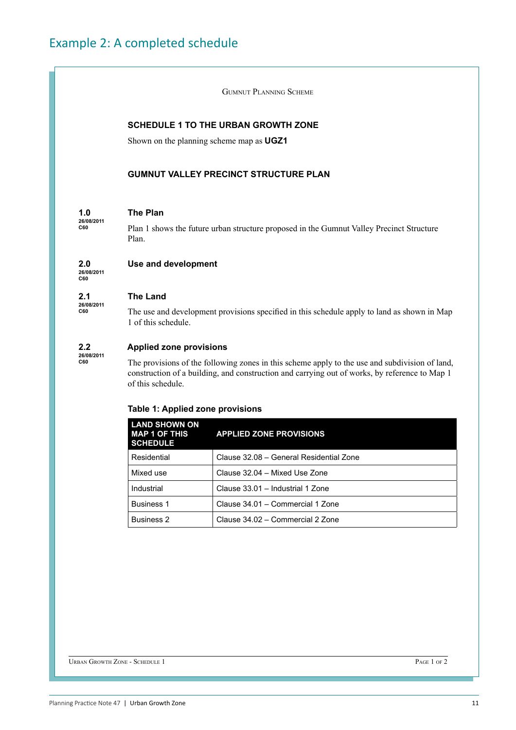Gumnut Planning Scheme

#### **SCHEDULE 1 TO THE URBAN GROWTH ZONE**

Shown on the planning scheme map as **UGZ1**

#### **GUMNUT VALLEY PRECINCT STRUCTURE PLAN**

#### **1.0 The Plan**

Plan 1 shows the future urban structure proposed in the Gumnut Valley Precinct Structure Plan.

#### **2.0 Use and development**

**26/08/2011 C60**

**26/08/2011 C60**

**26/08/2011 C60**

#### **2.1 The Land**

The use and development provisions specified in this schedule apply to land as shown in Map 1 of this schedule.

#### **2.2 Applied zone provisions**

**26/08/2011 C60**

The provisions of the following zones in this scheme apply to the use and subdivision of land, construction of a building, and construction and carrying out of works, by reference to Map 1 of this schedule.

#### **Table 1: Applied zone provisions**

| <b>LAND SHOWN ON</b><br><b>MAP 1 OF THIS</b><br><b>SCHEDULE</b> | <b>APPLIED ZONE PROVISIONS</b>          |
|-----------------------------------------------------------------|-----------------------------------------|
| Residential                                                     | Clause 32.08 - General Residential Zone |
| Mixed use                                                       | Clause 32.04 - Mixed Use Zone           |
| Industrial                                                      | Clause 33.01 - Industrial 1 Zone        |
| <b>Business 1</b>                                               | Clause 34.01 - Commercial 1 Zone        |
| <b>Business 2</b>                                               | Clause 34.02 – Commercial 2 Zone        |

URBAN GROWTH ZONE - SCHEDULE 1 PAGE 1 of 2